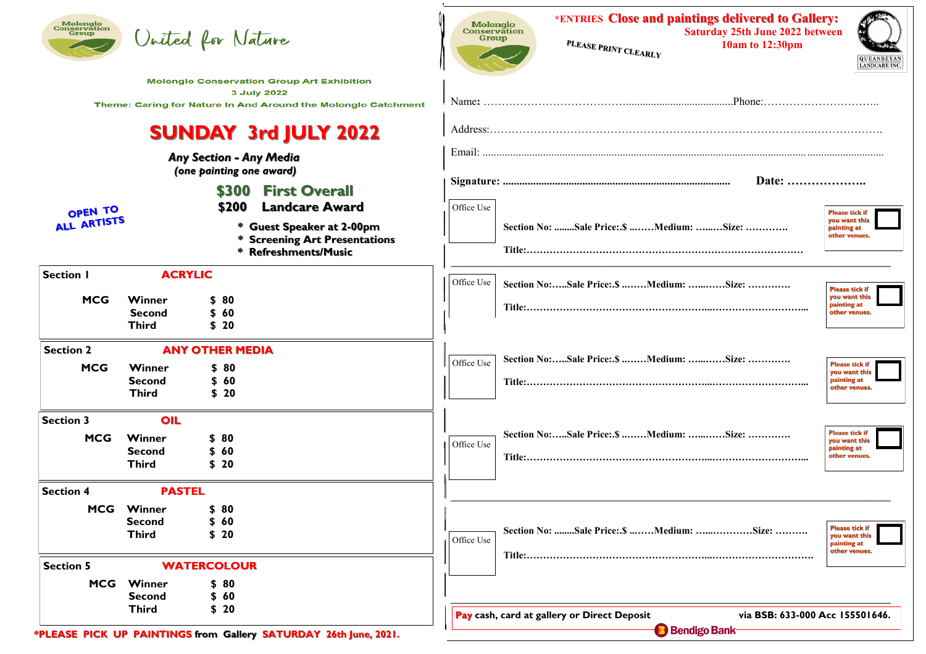| <b>Molonglo<br/>Conservation<br/>Group</b>                                                                                        |                                                                                          | United for Nature                              |                                                                                         | Molonglo<br><b>Conservation</b><br>Group                                                                |        | *ENTRIES Close and paintings delivered to Gallery:<br>PLEASE PRINT CLEARLY |       | <b>Saturday 25th June 2022 between</b><br>10am to 12:30pm |  | <b>QUEANBEYAN</b><br><b>LANDCARE INC.</b>                              |  |
|-----------------------------------------------------------------------------------------------------------------------------------|------------------------------------------------------------------------------------------|------------------------------------------------|-----------------------------------------------------------------------------------------|---------------------------------------------------------------------------------------------------------|--------|----------------------------------------------------------------------------|-------|-----------------------------------------------------------|--|------------------------------------------------------------------------|--|
| <b>Molonglo Conservation Group Art Exhibition</b><br>3 July 2022<br>Theme: Caring for Nature In And Around the Molonglo Catchment |                                                                                          |                                                |                                                                                         |                                                                                                         | Phone: |                                                                            |       |                                                           |  |                                                                        |  |
| <b>SUNDAY 3rd JULY 2022</b>                                                                                                       |                                                                                          |                                                |                                                                                         |                                                                                                         |        |                                                                            |       |                                                           |  |                                                                        |  |
|                                                                                                                                   | <b>Any Section - Any Media</b><br>(one painting one award)                               |                                                |                                                                                         |                                                                                                         |        |                                                                            | Date: |                                                           |  |                                                                        |  |
| OPEN TO                                                                                                                           |                                                                                          | \$200                                          | \$300 First Overall<br><b>Landcare Award</b>                                            | Office Use                                                                                              |        |                                                                            |       |                                                           |  | <b>Please tick if</b>                                                  |  |
| ALL ARTISTS                                                                                                                       |                                                                                          |                                                | * Guest Speaker at 2-00pm<br><b>Screening Art Presentations</b><br>* Refreshments/Music |                                                                                                         |        | Section No: Sale Price:.\$ Medium: Size:                                   |       |                                                           |  | you want this<br>painting at<br>other venues.                          |  |
| <b>Section I</b>                                                                                                                  | <b>ACRYLIC</b>                                                                           |                                                |                                                                                         | Office Use                                                                                              |        | Section No:Sale Price:.\$ Medium: Size:                                    |       |                                                           |  | <b>Please tick if</b>                                                  |  |
| <b>MCG</b>                                                                                                                        | Winner<br><b>Second</b><br><b>Third</b>                                                  | \$80<br>\$60<br>\$20                           |                                                                                         |                                                                                                         |        |                                                                            |       |                                                           |  | you want this<br>painting at<br>other venues.                          |  |
| <b>Section 2</b><br><b>MCG</b>                                                                                                    | Winner<br><b>Second</b><br><b>Third</b>                                                  | <b>ANY OTHER MEDIA</b><br>\$80<br>\$60<br>\$20 |                                                                                         | Office Use                                                                                              |        | Section No:Sale Price:.\$ Medium: Size:                                    |       |                                                           |  | <b>Please tick if</b><br>you want this<br>painting at<br>other venues. |  |
| <b>Section 3</b><br><b>MCG</b>                                                                                                    | OIL<br>Winner<br><b>Second</b><br><b>Third</b>                                           | \$80<br>\$60<br>\$20                           |                                                                                         | Office Use                                                                                              |        | Section No:Sale Price:.\$ Medium: Size:                                    |       |                                                           |  | <b>Please tick if</b><br>you want this<br>painting at<br>other venues. |  |
| <b>Section 4</b>                                                                                                                  | <b>PASTEL</b>                                                                            |                                                |                                                                                         |                                                                                                         |        |                                                                            |       |                                                           |  |                                                                        |  |
|                                                                                                                                   | <b>MCG</b> Winner<br><b>Second</b><br><b>Third</b>                                       | \$80<br>\$60<br>\$20                           |                                                                                         | Office Use                                                                                              |        | Section No: Sale Price:.\$ Medium: Size:                                   |       |                                                           |  | <b>Please tick if</b><br>you want this<br>painting at<br>other venues. |  |
| <b>Section 5</b><br><b>MCG</b>                                                                                                    | <b>WATERCOLOUR</b><br>Winner<br>\$80<br>\$60<br><b>Second</b>                            |                                                |                                                                                         |                                                                                                         |        |                                                                            |       |                                                           |  |                                                                        |  |
|                                                                                                                                   | \$20<br><b>Third</b><br>*PLEASE PICK LIP PAINTINGS from Gallery SATLIPDAY 26th lune 2021 |                                                |                                                                                         | Pay cash, card at gallery or Direct Deposit<br>via BSB: 633-000 Acc 155501646.<br><b>B</b> Bendigo Bank |        |                                                                            |       |                                                           |  |                                                                        |  |

**PICK UP PAINTINGS from Gallery SATURDAY 26th June, 2021.**